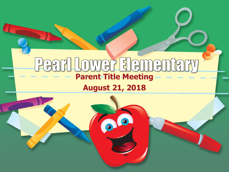### DWGF FIGMGM  $\sqrt{\frac{1}{2}}$  $\mathbf 0$ **Parent Title Meeting**



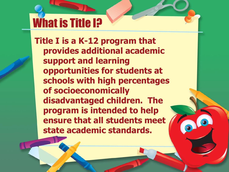## What is Title I?

**Title I is a K-12 program that provides additional academic support and learning opportunities for students at schools with high percentages of socioeconomically disadvantaged children. The program is intended to help ensure that all students meet state academic standards.**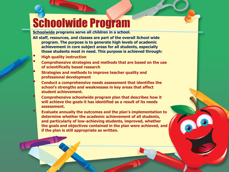## Schoolwide Program

**Schoolwide programs serve all children in a school.** 

**All staff, resources, and classes are part of the overall School wide program. The purpose is to generate high levels of academic achievement in core subject areas for all students, especially those students most in need. This purpose is achieved through:**

- **High quality instruction**
- **Comprehensive strategies and methods that are based on the use of scientifically based research**
- **Strategies and methods to improve teacher quality and professional development**
	- **Conduct a comprehensive needs assessment that identifies the school's strengths and weaknesses in key areas that affect student achievement.**
	- **Comprehensive schoolwide program plan that describes how it will achieve the goals it has identified as a result of its needs assessment.**
	- **Evaluate annually the outcomes and the plan's implementation to determine whether the academic achievement of all students, and particularly of low-achieving students, improved, whether the goals and objectives contained in the plan were achieved, and if the plan is still appropriate as written.**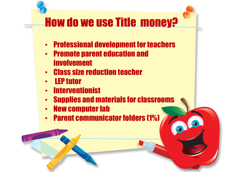## How do we use Title money?

- Professional development for teachers
- Promote parent education and involvement
- Class size reduction teacher
- LEP tutor
- Interventionist
- Supplies and materials for classrooms
- New computer lab
- Parent communicator folders (1%)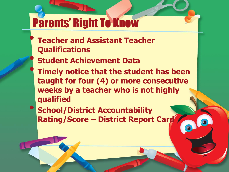## Parents' Right To Know

- **Teacher and Assistant Teacher Qualifications**
- **Student Achievement Data**
- **Timely notice that the student has been taught for four (4) or more consecutive weeks by a teacher who is not highly qualified**
- **School/District Accountability Rating/Score – District Report Card**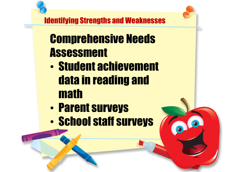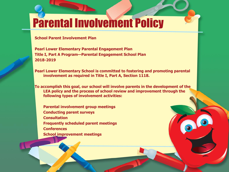## Parental Involvement Policy

#### **School Parent Involvement Plan**

**Pearl Lower Elementary Parental Engagement Plan Title I, Part A Program—Parental Engagement School Plan 2018-2019**

**Pearl Lower Elementary School is committed to fostering and promoting parental involvement as required in Title I, Part A, Section 1118.**

**To accomplish this goal, our school will involve parents in the development of the LEA policy and the process of school review and improvement through the following types of involvement activities:**

**Parental involvement group meetings Conducting parent surveys Consultation Frequently scheduled parent meetings Conferences School improvement meetings**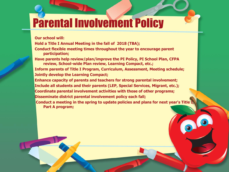## Parental Involvement Policy

**Our school will:**

**Hold a Title I Annual Meeting in the fall of 2018 (TBA);**

**Conduct flexible meeting times throughout the year to encourage parent participation;**

**Have parents help review/plan/improve the PI Policy, PI School Plan, CFPA review, School-wide Plan review, Learning Compact, etc.;**

**Inform parents of Title I Program, Curriculum, Assessment, Meeting schedule; Jointly develop the Learning Compact;**

**Enhance capacity of parents and teachers for strong parental involvement; Include all students and their parents (LEP, Special Services, Migrant, etc.); Coordinate parental involvement activities with those of other programs; Disseminate district parental involvement policy each fall;**

**Conduct a meeting in the spring to update policies and plans for next year's Title I Part A program;**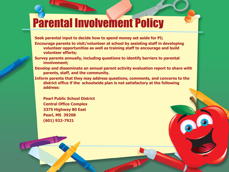## Parental Involvement Policy

**Seek parental input to decide how to spend money set aside for PI;** 

- **Encourage parents to visit/volunteer at school by assisting staff in developing volunteer opportunities as well as training staff to encourage and build volunteer efforts;**
- **Survey parents annually, including questions to identify barriers to parental involvement;**
- **Develop and disseminate an annual parent activity evaluation report to share with parents, staff, and the community.**
- **Inform parents that they may address questions, comments, and concerns to the district office if the schoolwide plan is not satisfactory at the following address:**

**Pearl Public School District Central Office Complex 3375 Highway 80 East Pearl, MS 39208 (601) 932-7921**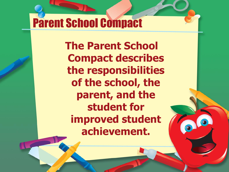## Parent School Compact

**The Parent School Compact describes the responsibilities of the school, the parent, and the student for improved student achievement.**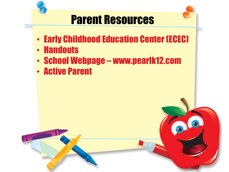

- 
- Early Childhood Education Center (ECEC)
- Handouts
- School Webpage www.pearlk12.com
- Active Parent